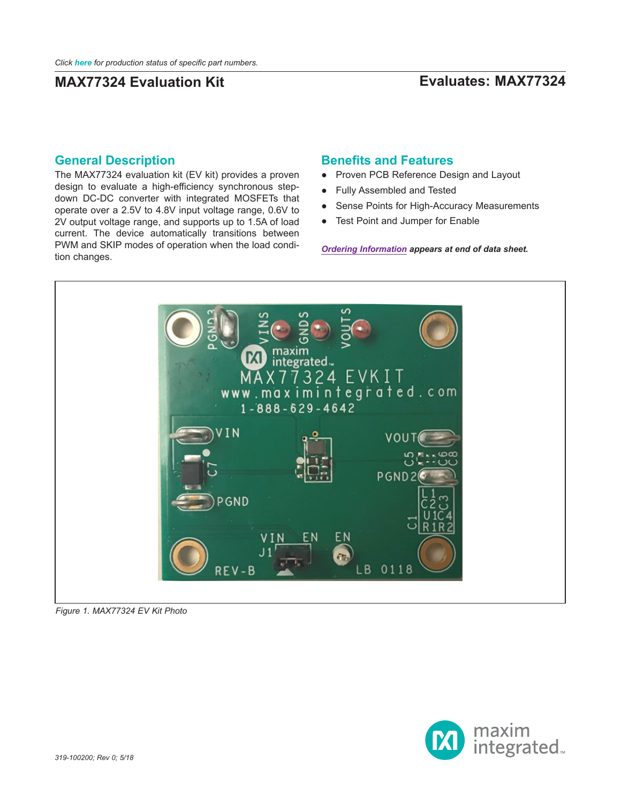# **MAX77324 Evaluation Kit Evaluates: MAX77324**

## **General Description**

The MAX77324 evaluation kit (EV kit) provides a proven design to evaluate a high-efficiency synchronous stepdown DC-DC converter with integrated MOSFETs that operate over a 2.5V to 4.8V input voltage range, 0.6V to 2V output voltage range, and supports up to 1.5A of load current. The device automatically transitions between PWM and SKIP modes of operation when the load condition changes.

## **Benefits and Features**

- Proven PCB Reference Design and Layout
- Fully Assembled and Tested
- Sense Points for High-Accuracy Measurements
- Test Point and Jumper for Enable

### *[Ordering Information](#page-2-0) appears at end of data sheet.*



*Figure 1. MAX77324 EV Kit Photo*

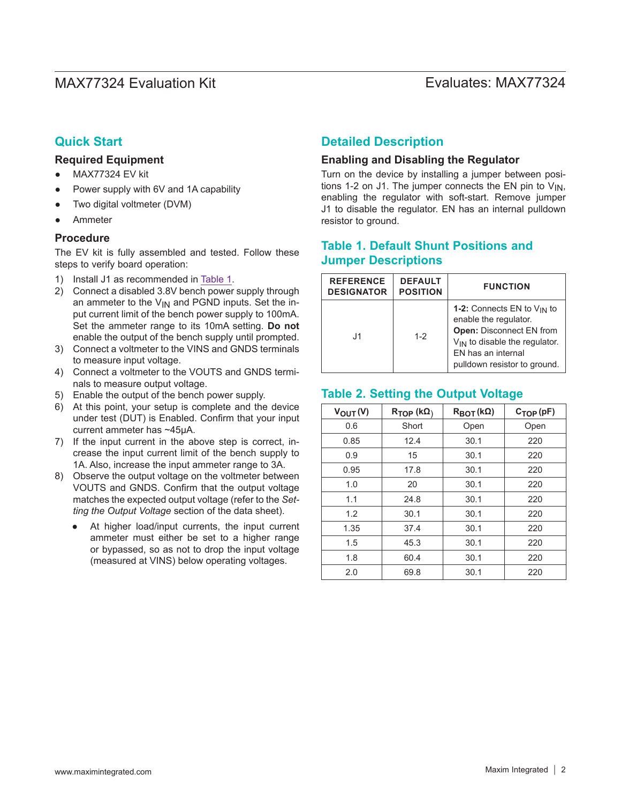## MAX77324 Evaluation Kit
Here Allen Contains and Evaluates: MAX77324

## **Quick Start**

### **Required Equipment**

- MAX77324 EV kit
- Power supply with 6V and 1A capability
- Two digital voltmeter (DVM)
- **Ammeter**

### **Procedure**

The EV kit is fully assembled and tested. Follow these steps to verify board operation:

- 1) Install J1 as recommended in [Table 1](#page-1-0).
- 2) Connect a disabled 3.8V bench power supply through an ammeter to the  $V_{IN}$  and PGND inputs. Set the input current limit of the bench power supply to 100mA. Set the ammeter range to its 10mA setting. **Do not** enable the output of the bench supply until prompted.
- 3) Connect a voltmeter to the VINS and GNDS terminals to measure input voltage.
- 4) Connect a voltmeter to the VOUTS and GNDS terminals to measure output voltage.
- 5) Enable the output of the bench power supply.
- 6) At this point, your setup is complete and the device under test (DUT) is Enabled. Confirm that your input current ammeter has ~45μA.
- 7) If the input current in the above step is correct, increase the input current limit of the bench supply to 1A. Also, increase the input ammeter range to 3A.
- 8) Observe the output voltage on the voltmeter between VOUTS and GNDS. Confirm that the output voltage matches the expected output voltage (refer to the *[Set](#page-2-1)[ting the Output Voltage](#page-2-1)* section of the data sheet).
	- At higher load/input currents, the input current ammeter must either be set to a higher range or bypassed, so as not to drop the input voltage (measured at VINS) below operating voltages.

## **Detailed Description**

### **Enabling and Disabling the Regulator**

Turn on the device by installing a jumper between positions 1-2 on J1. The jumper connects the EN pin to  $V_{IN}$ , enabling the regulator with soft-start. Remove jumper J1 to disable the regulator. EN has an internal pulldown resistor to ground.

## <span id="page-1-0"></span>**Table 1. Default Shunt Positions and Jumper Descriptions**

| <b>REFERENCE</b><br><b>DESIGNATOR</b> | <b>DEFAULT</b><br><b>POSITION</b> | <b>FUNCTION</b>                                                                                                                                                                                |  |  |
|---------------------------------------|-----------------------------------|------------------------------------------------------------------------------------------------------------------------------------------------------------------------------------------------|--|--|
| .11                                   | $1 - 2$                           | <b>1-2:</b> Connects EN to $V_{IN}$ to<br>enable the regulator.<br><b>Open: Disconnect EN from</b><br>$V_{IN}$ to disable the regulator.<br>EN has an internal<br>pulldown resistor to ground. |  |  |

## **Table 2. Setting the Output Voltage**

| $V_{OUT}(V)$ | $R_{\mathsf{TOP}}$ (kΩ) | $R_{\text{BOT}}(k\Omega)$ | $C_{\text{TOP}}(pF)$ |  |
|--------------|-------------------------|---------------------------|----------------------|--|
| 0.6          | Short                   | Open                      | Open                 |  |
| 0.85         | 12.4                    | 30.1                      | 220                  |  |
| 0.9          | 15                      | 30.1                      | 220                  |  |
| 0.95         | 17.8                    | 30.1                      | 220                  |  |
| 1.0          | 20                      | 30.1                      | 220                  |  |
| 1.1          | 24.8                    | 30.1                      | 220                  |  |
| 1.2          | 30.1                    | 30.1                      | 220                  |  |
| 1.35         | 37.4                    | 30.1                      | 220                  |  |
| 1.5          | 45.3                    | 30.1                      | 220                  |  |
| 1.8          | 60.4                    | 30.1                      | 220                  |  |
| 2.0          | 69.8                    | 30.1                      | 220                  |  |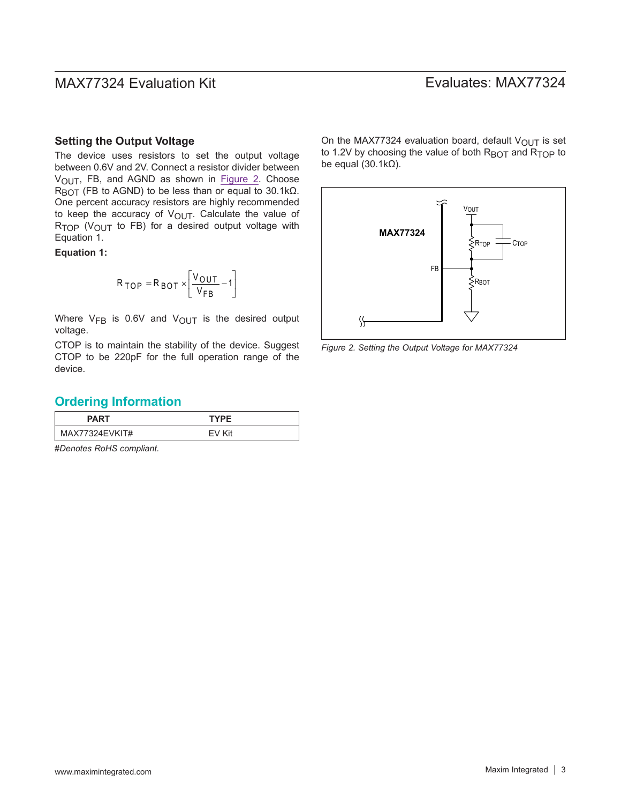## MAX77324 Evaluation Kit
Here And Archives 2018 Evaluates: MAX77324

### <span id="page-2-1"></span>**Setting the Output Voltage**

The device uses resistors to set the output voltage between 0.6V and 2V. Connect a resistor divider between VOUT, FB, and AGND as shown in [Figure 2](#page-2-2). Choose R<sub>BOT</sub> (FB to AGND) to be less than or equal to 30.1kΩ. One percent accuracy resistors are highly recommended to keep the accuracy of  $V_{\text{OUT}}$ . Calculate the value of R<sub>TOP</sub> (V<sub>OUT</sub> to FB) for a desired output voltage with Equation 1.

**Equation 1:**

$$
R_{\text{TOP}} = R_{\text{BOT}} \times \left[ \frac{V_{\text{OUT}}}{V_{\text{FB}}} - 1 \right]
$$

Where  $V_{FB}$  is 0.6V and  $V_{OUT}$  is the desired output voltage.

CTOP is to maintain the stability of the device. Suggest CTOP to be 220pF for the full operation range of the device.

On the MAX77324 evaluation board, default  $V_{\text{OUT}}$  is set to 1.2V by choosing the value of both  $R_{\text{ROT}}$  and  $R_{\text{TOP}}$  to be equal  $(30.1kΩ)$ .

<span id="page-2-2"></span>

*Figure 2. Setting the Output Voltage for MAX77324*

## <span id="page-2-0"></span>**Ordering Information**

| <b>PART</b>    | <b>TYPF</b> |
|----------------|-------------|
| MAX77324EVKIT# | :V Kit      |

#*Denotes RoHS compliant.*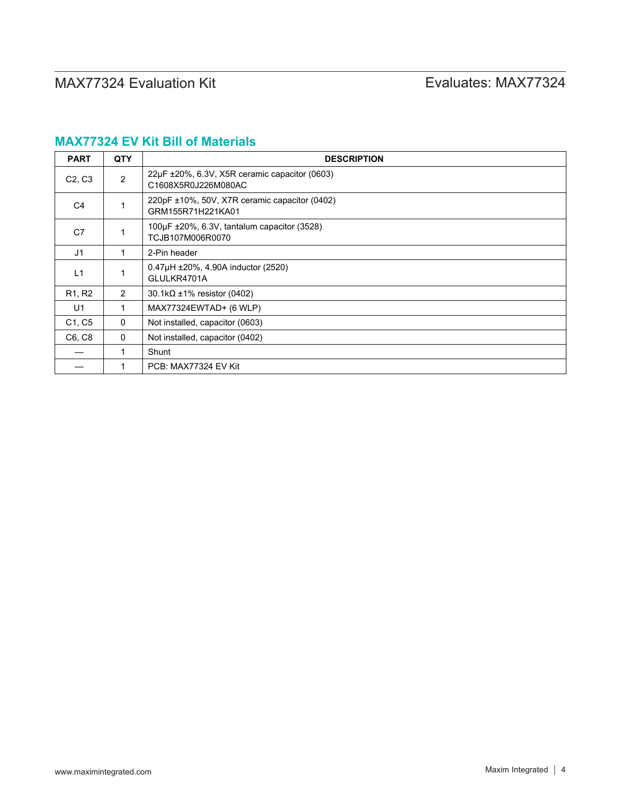## **MAX77324 EV Kit Bill of Materials**

| <b>PART</b>                     | <b>QTY</b>     | <b>DESCRIPTION</b>                                                             |  |
|---------------------------------|----------------|--------------------------------------------------------------------------------|--|
| C <sub>2</sub> , C <sub>3</sub> | $\overline{2}$ | $22\mu$ F $\pm$ 20%, 6.3V, X5R ceramic capacitor (0603)<br>C1608X5R0J226M080AC |  |
| C <sub>4</sub>                  |                | 220pF ±10%, 50V, X7R ceramic capacitor (0402)<br>GRM155R71H221KA01             |  |
| C <sub>7</sub>                  |                | 100µF ±20%, 6.3V, tantalum capacitor (3528)<br>TCJB107M006R0070                |  |
| J1                              |                | 2-Pin header                                                                   |  |
| L1                              |                | $0.47\mu$ H $\pm$ 20%, 4.90A inductor (2520)<br>GLULKR4701A                    |  |
| R <sub>1</sub> , R <sub>2</sub> | $\overline{2}$ | 30.1kΩ ±1% resistor (0402)                                                     |  |
| U1                              |                | MAX77324EWTAD+ (6 WLP)                                                         |  |
| C1, C5                          | $\mathbf{0}$   | Not installed, capacitor (0603)                                                |  |
| C6, C8                          | $\mathbf{0}$   | Not installed, capacitor (0402)                                                |  |
|                                 | 1.             | Shunt                                                                          |  |
|                                 |                | PCB: MAX77324 EV Kit                                                           |  |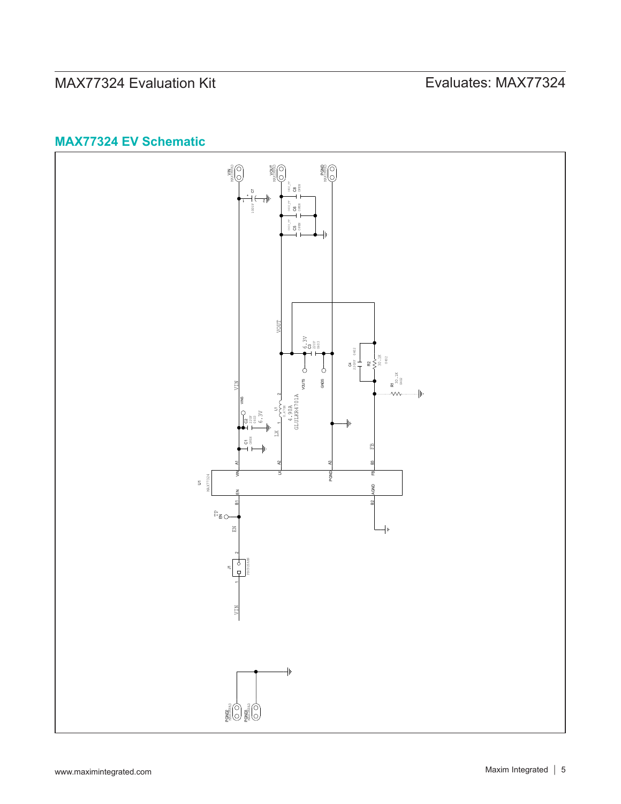# MAX77324 Evaluation Kit
Here and South Article Evaluates: MAX77324

## **MAX77324 EV Schematic**

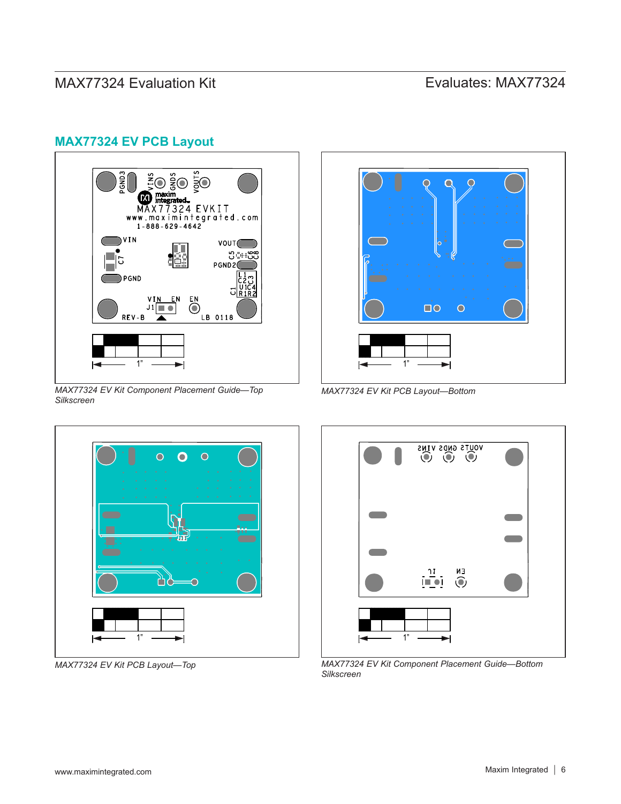# MAX77324 Evaluation Kit
Here and Evaluates: MAX77324

## **MAX77324 EV PCB Layout**



*MAX77324 EV Kit Component Placement Guide—Top Silkscreen*



*MAX77324 EV Kit PCB Layout—Top*



*MAX77324 EV Kit PCB Layout—Bottom*



*MAX77324 EV Kit Component Placement Guide—Bottom Silkscreen*